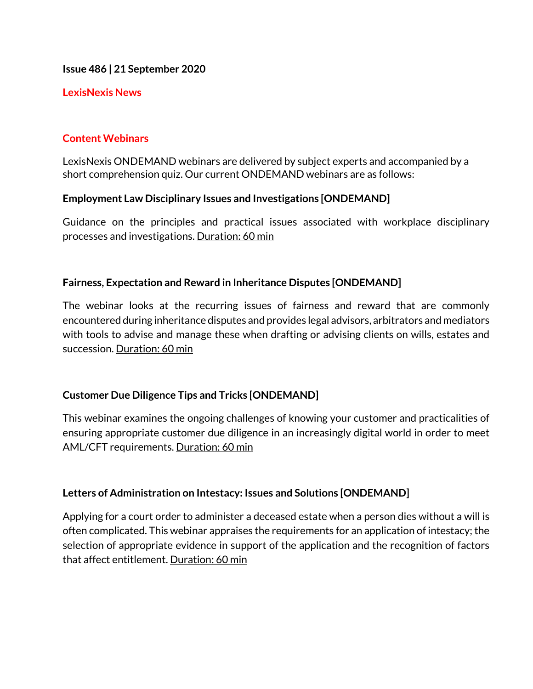**Issue 486 | 21 September 2020**

## **LexisNexis News**

## **Content Webinars**

LexisNexis ONDEMAND webinars are delivered by subject experts and accompanied by a short comprehension quiz. Our current ONDEMAND webinars are as follows:

## **Employment Law Disciplinary Issues and Investigations [ONDEMAND]**

Guidance on the principles and practical issues associated with workplace disciplinary processes and investigations. Duration: 60 min

## **Fairness, Expectation and Reward in Inheritance Disputes [ONDEMAND]**

The webinar looks at the recurring issues of fairness and reward that are commonly encountered during inheritance disputes and provides legal advisors, arbitrators and mediators with tools to advise and manage these when drafting or advising clients on wills, estates and succession. Duration: 60 min

## **Customer Due Diligence Tips and Tricks [ONDEMAND]**

This webinar examines the ongoing challenges of knowing your customer and practicalities of ensuring appropriate customer due diligence in an increasingly digital world in order to meet AML/CFT requirements. Duration: 60 min

## **Letters of Administration on Intestacy: Issues and Solutions [ONDEMAND]**

Applying for a court order to administer a deceased estate when a person dies without a will is often complicated. This webinar appraises the requirements for an application of intestacy; the selection of appropriate evidence in support of the application and the recognition of factors that affect entitlement. Duration: 60 min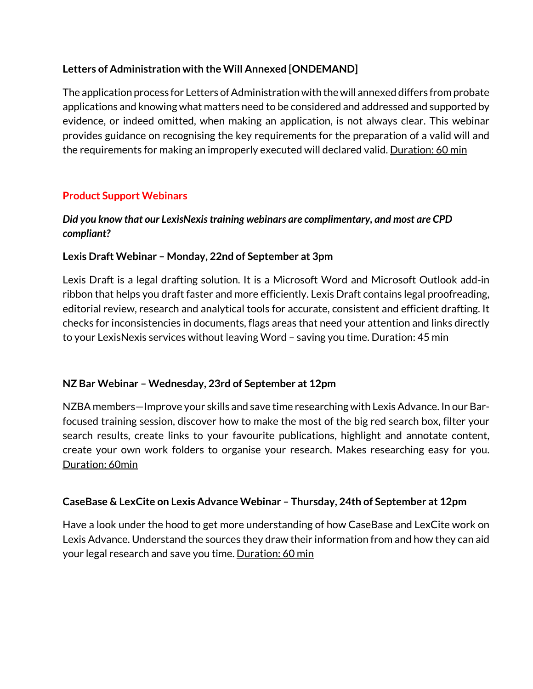# **Letters of Administration with the Will Annexed [ONDEMAND]**

The application process for Letters of Administration with the will annexed differs from probate applications and knowing what matters need to be considered and addressed and supported by evidence, or indeed omitted, when making an application, is not always clear. This webinar provides guidance on recognising the key requirements for the preparation of a valid will and the requirements for making an improperly executed will declared valid. Duration: 60 min

# **Product Support Webinars**

# *Did you know that our LexisNexis training webinars are complimentary, and most are CPD compliant?*

## **Lexis Draft Webinar – Monday, 22nd of September at 3pm**

Lexis Draft is a legal drafting solution. It is a Microsoft Word and Microsoft Outlook add-in ribbon that helps you draft faster and more efficiently. Lexis Draft contains legal proofreading, editorial review, research and analytical tools for accurate, consistent and efficient drafting. It checks for inconsistencies in documents, flags areas that need your attention and links directly to your LexisNexis services without leaving Word - saving you time. Duration: 45 min

# **NZ Bar Webinar – Wednesday, 23rd of September at 12pm**

NZBA members—Improve your skills and save time researching with Lexis Advance. In our Barfocused training session, discover how to make the most of the big red search box, filter your search results, create links to your favourite publications, highlight and annotate content, create your own work folders to organise your research. Makes researching easy for you. Duration: 60min

## **CaseBase & LexCite on Lexis Advance Webinar – Thursday, 24th of September at 12pm**

Have a look under the hood to get more understanding of how CaseBase and LexCite work on Lexis Advance. Understand the sources they draw their information from and how they can aid your legal research and save you time. Duration: 60 min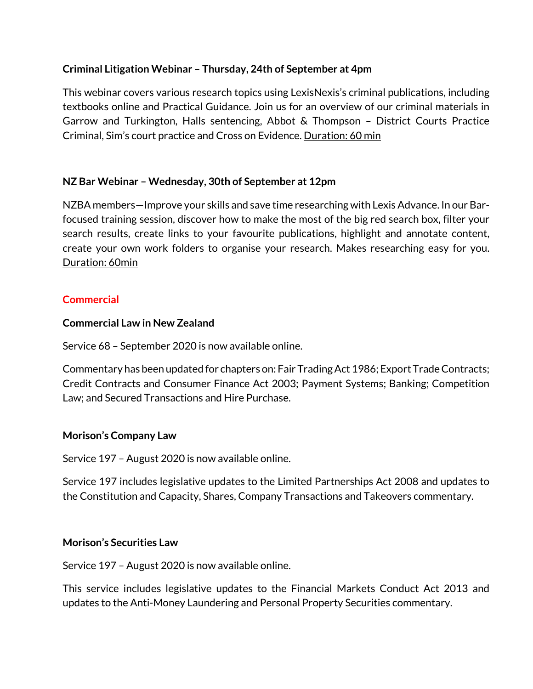## **Criminal Litigation Webinar – Thursday, 24th of September at 4pm**

This webinar covers various research topics using LexisNexis's criminal publications, including textbooks online and Practical Guidance. Join us for an overview of our criminal materials in Garrow and Turkington, Halls sentencing, Abbot & Thompson – District Courts Practice Criminal, Sim's court practice and Cross on Evidence. Duration: 60 min

## **NZ Bar Webinar – Wednesday, 30th of September at 12pm**

NZBA members—Improve your skills and save time researching with Lexis Advance. In our Barfocused training session, discover how to make the most of the big red search box, filter your search results, create links to your favourite publications, highlight and annotate content, create your own work folders to organise your research. Makes researching easy for you. Duration: 60min

## **Commercial**

## **Commercial Law in New Zealand**

Service 68 – September 2020 is now available online.

Commentary has been updated for chapters on: Fair Trading Act 1986; Export Trade Contracts; Credit Contracts and Consumer Finance Act 2003; Payment Systems; Banking; Competition Law; and Secured Transactions and Hire Purchase.

## **Morison's Company Law**

Service 197 – August 2020 is now available online.

Service 197 includes legislative updates to the Limited Partnerships Act 2008 and updates to the Constitution and Capacity, Shares, Company Transactions and Takeovers commentary.

#### **Morison's Securities Law**

Service 197 – August 2020 is now available online.

This service includes legislative updates to the Financial Markets Conduct Act 2013 and updates to the Anti-Money Laundering and Personal Property Securities commentary.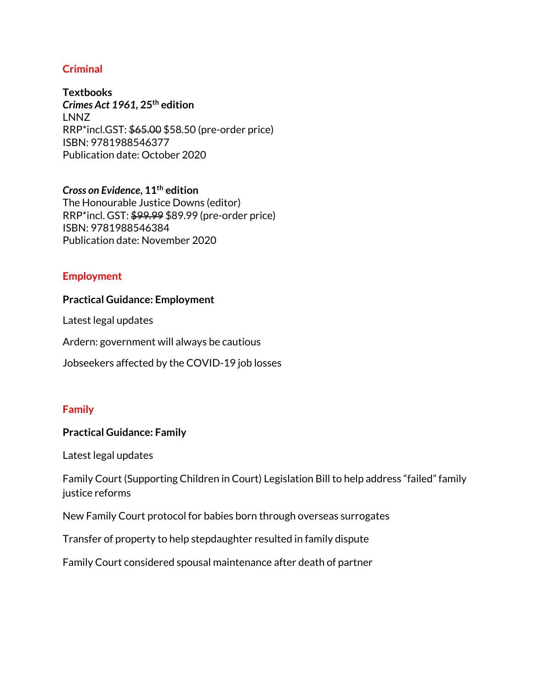### **Criminal**

**Textbooks** *Crimes Act 1961,* **25th edition** LNNZ RRP\*incl.GST: \$65.00 \$58.50 (pre-order price) ISBN: 9781988546377 Publication date: October 2020

*Cross on Evidence***, 11th edition** The Honourable Justice Downs (editor) RRP\*incl. GST: \$99.99 \$89.99 (pre-order price) ISBN: 9781988546384 Publication date: November 2020

### **Employment**

#### **Practical Guidance: Employment**

Latest legal updates

Ardern: government will always be cautious

Jobseekers affected by the COVID-19 job losses

#### **Family**

#### **Practical Guidance: Family**

Latest legal updates

Family Court (Supporting Children in Court) Legislation Bill to help address "failed" family justice reforms

New Family Court protocol for babies born through overseas surrogates

Transfer of property to help stepdaughter resulted in family dispute

Family Court considered spousal maintenance after death of partner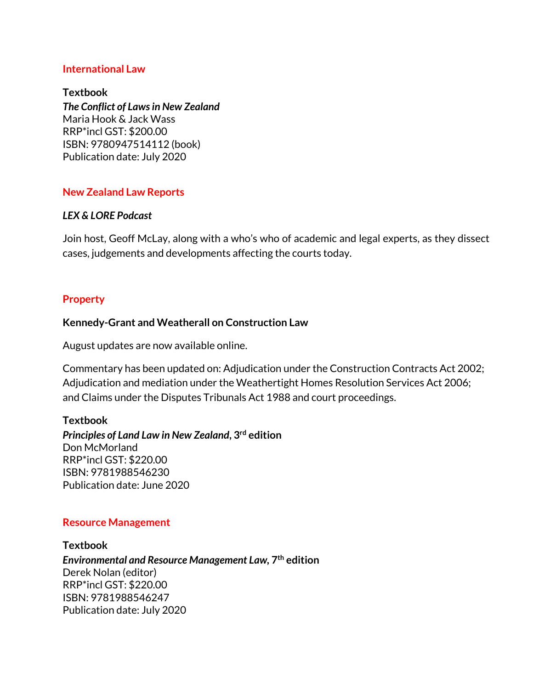### **International Law**

### **Textbook**

*The Conflict of Laws in New Zealand* Maria Hook & Jack Wass RRP\*incl GST: \$200.00 ISBN: 9780947514112 (book) Publication date: July 2020

## **New Zealand Law Reports**

### *LEX & LORE Podcast*

Join host, Geoff McLay, along with a who's who of academic and legal experts, as they dissect cases, judgements and developments affecting the courts today.

### **Property**

### **Kennedy-Grant and Weatherall on Construction Law**

August updates are now available online.

Commentary has been updated on: Adjudication under the Construction Contracts Act 2002; Adjudication and mediation under the Weathertight Homes Resolution Services Act 2006; and Claims under the Disputes Tribunals Act 1988 and court proceedings.

#### **Textbook**

*Principles of Land Law in New Zealand***, 3rd edition** Don McMorland RRP\*incl GST: \$220.00 ISBN: 9781988546230 Publication date: June 2020

#### **Resource Management**

**Textbook** *Environmental and Resource Management Law,* **7th edition** Derek Nolan (editor) RRP\*incl GST: \$220.00 ISBN: 9781988546247 Publication date: July 2020